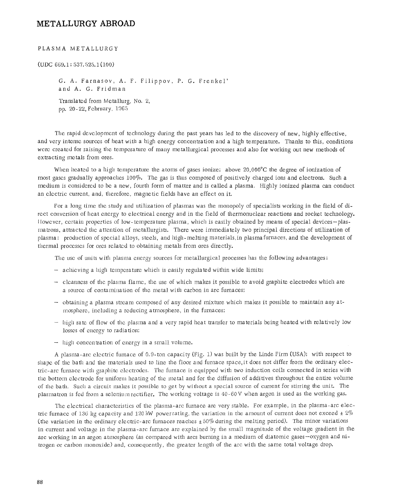## **METALLURGY ABROAD**

## PLASMA METALLURGY

(UDC 669.1 : 837.628.1(100)

G. A. Farnasov, A. F. Filippov, P. G. Frenkel' and A. G. Fridman

Translated from Metallurg, No. 2, pp. 20-22, February, 1965

Tile rapid dcvclopmcnt of technology during the past years has led to the discovery of new, highly effective, and very intense sourccs of heat with a high energy concentration and a high temperature. Thanks to this, conditions wcrc created for raising the temperature of many metallurgical processes and also for working out new methods of extracting metals from ores.

When heated to a high temperature the atoms of gases ionize; above  $20,000^{\circ}$ C the degree of ionization of most gases gradually approaches 100%. The gas is thus composed of positively charged ions and electrons. Such a medimn is considered to be a new, fourth form of matter and is called a plasma. Highly ionized plasma can conduct an electric current, and, therefore, magnetic fields have an effect on it.

For a long time the study and utilization of plasmas was the monopoly of specialists working in the field of dircct couvcrsion of heat energy to electrical energy and in the field of thermonuclear reactions and rocket technology. I Lowever, certain properties of low-temperature plasma, which is easily obtained by means of special devices-plasmatrons, attractcd thc attention of metallurgists. There were immediately two principal directions of utilization of plasma: production of special alloys, steels, and high-melting materials,in plasma furnaces, and the development of thermal processcs for ores related to obtaining metals from ores directly.

The use of units with plasma energy sources for metallurgical processes has the following advantages:

- achieving a high temperature which is easily regulated within wide limits;
- cleanness of the plasma flame, the use of which makes it possible to avoid graphite electrodes which are a source of contamination of the metal with carbon in arc furnaces;
- obtaining a plasma stream composed of any desired mixture which makes it possible to maintain any atmosphere, including a reducing atmosphere, in the furnaces;
- high rate of flow of the plasma and a very rapid heat transfer to materials being heated with relatively low losses of cncrgy to radiation;
- high concentration of energy in a small volume.

A plasma-arc electric furnace of 0.9-ton capacity (Fig. 1) was built by the Linde Firm (USA); with respect to shape of the bath and the materials used to line the floor and furnace space, it does not differ from the ordinary electric-arc furnace with graphite electrodes. The furnace is equipped with two induction coils connected in series with the bottom electrode for uniform heating of the metal and for the diffusion of additives throughout the entire volume of the bath. Such a circuit makes it possible to get by without a special source of current for stirring the unit. The plasmatron is fed from a selenium rectifier. The working voltage is 40-60 V when argon is used as the working gas.

The electrical characteristics of the plasma-arc furnace are very stable. For example, in the plasma-arc electric furnace of 136 kg capacity and 120 kW powerrating, the variation in the amount of current does not exceed  $\pm 2\%$ (the variation in the ordinary electric-arc furnaces reaches  $\pm 50\%$  during the melting period). The minor variations in current and voltage in the plasma-arc furnace are explained by the small magnitude of the voItage gradient in the arc working in an argon atmosphere (as compared with arcs burning in a medium of diatomic gases-oxygen and nitrogen or carbon monoxide) and, consequently, the greater length of the arc with the same total voltage drop.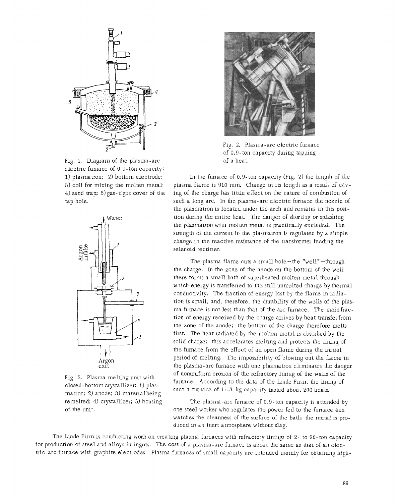

Fig. 1. Diagram of the plasma-arc electric furnace of 0.9-ton capacity: 1) plasmatron; 2) bottom electrode; 3) coil for mixing the molten metal; 4) sand trap; 5)gas-tight cover of the tap hole.



Fig. 3. Plasma melting unit with closed-bottom crystallizer: 1) plasmatron; 2) anode; 3) materialbeing remelted; 4) crystallizer; 5) housing of the unit.



Fig. 2. Plasma-arc electric furnace of 0.9-ton capacity during tapping of a heat.

In the furnace of 0,9-ton capacity (Fig. 2) the length of the plasma flame is 910 mm. Change in its length as a resuIt of caving of the charge has little effect on the nature of combustion of such a long arc. In the plasma-arc electric furnace the nozzle of the plasmatron is located under the arch and remains in this position during the entire heat. The danger of shorting or splashing the plasmatron with molten metal is practically excluded. The strength of the current in the plasmatron is regulated by a simple change in the reactive resistance of the transformer feeding the selenoid rectifier.

The plasma flame cuts a small hole $-$ the "well" $-$ through the charge. In the zone of the anode on the bottom of the well there forms a small bath of superheated molten metal through which energy is transferred to the still unmelted charge by thermal conductivity. The fraction of energy lost by the flame in radiation is small, and, therefore, the durability of the wells of the plasma furnace is not less than that of the arc furnace. The main fraction of energy received by the charge arrives by heat transfer from the zone of the anode; the bottom of the charge therefore melts first. The heat radiated by the molten metal is absorbed by the solid charge; this accelerates melting and protects the lining of the furnace from the effect of an open flame during the initial period of melting, The impossibility of blowing out the flame in the plasma-arc furnace with one plasmatron eliminates the danger of nonuniform erosion of the refractory lining of the wails of the furnace. According to the data of the Linde Firm, the lining of such a furnace of 11.3-kg capacity lasted about 200 heats.

The plasma-arc furnace of 0.9-ton capacity is attended by one steel worker who regulates the power fed to the furnace and watches the cleanness of the surface of the bath; the metal is produced in an inert atmosphere without slag.

The Linde Firm is conducting work on creating plasma furnaces with refractory linings of 2- to 90-ton capacity for production of steel and alloys in ingots. The cost of a plasma-arc furnace is about the same as that of an electric-arc furnace with graphite electrodes. Plasma furnaces of smalI capacity are intended mainly for obtaining high-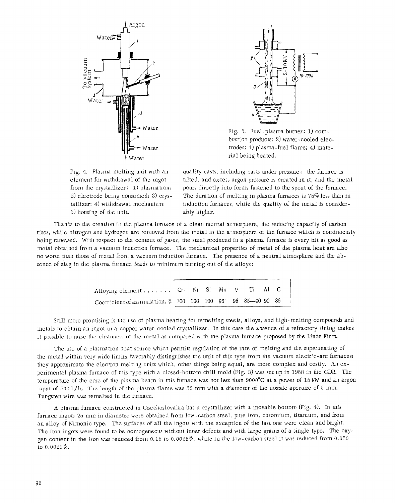



Fig. 5. Fuel-plasma burner: 1) combustion products; 2) water-cooled electrodes; 4) plasma-fuel flame; 4) material being heated.

Fig. 4. Plasma melting unit with an element for withdrawal of the ingot from the crystallizer: 1) plasmatron; 2) electrode being consumed; 3) crystallizer; 4) withdrawal mechanism; 5) housing of the unit.

quality casts, including casts under pressure: the furnace is tilted, and excess argon pressure is created in it, and the metal pours directly into forms fastened to the spout of the furnace. The duration of melting in plasma furnaces is  $75\%$  less than in induction furnaces, while the quality of the metal is considerably higher.

Thanks to the creation in the plasma furnace of a clean neutral atmosphere, the reducing capacity of carbon rises, while nitrogen and hydrogen are removed from the metal in the atmosphere of the furnace which is continuously being renewed. With respect to the content of gases, the steel produced in a plasma furnace is every bit as good as metal obtained from a vacuum induction furnace. The mechanical properties of metal of the plasma heat are also no worse than those of metal from a vacuum induction furnace. The presence of a neutral atmosphere and the absence of slag in the plasma furnace leads to minimum burning out of the alloys:

| Alloying element Cr Ni Si $Mn$ V Ti Al C                        |  |  |  |  |  |
|-----------------------------------------------------------------|--|--|--|--|--|
| Coefficient of assimilation, $\%$ 100 100 100 96 95 85-90 90 86 |  |  |  |  |  |

Still more promising is file use of plasma heating for remelting steels, alloys, and high-melting compounds and metals to obtain an ingot in a copper water-cooled crystallizer. In this case the absence of a refractory lining makes it possible to raise the cleanness of the metal as compared with the plasma furnace proposed by the Linde Firm.

The use of a plasmatron heat source which permits regulation of the rate of melting and the superheating of the metal within very wide limits, favorably distinguishes the unit of this type from the vacuum electric-arc furnaces; they approximate the electron melting units which, other things being equal, are more complex and costly. An experimental plasma furnace of this type with a closed-bottom chill mold (Fig. 3) was set up in 1958 in the GDR. The temperature of the core of the plasma beam in this furnace was not less than 9000°C at a power of 15 kW and an argon input of  $500 \frac{1}{h}$ . The length of the plasma flame was 30 mm with a diameter of the nozzle aperture of 5 mm. Tungsten wire was remelted in the furnace.

A plasma furnace constructed in Czechoslovakia has a crystallizer with a movable bottom (Fig. 4). In this furnace ingots 25 mm in diameter were obtained *from* low-carbon steel, pure iron, chromium, titanium, and from an alloy of Nimonic type. The surfaces of all the ingots with the exception of the last one were clean and bright. The iron ingots were found to be homogeneous without inner defects and with large grains of a single type. The oxygen content in the iron was reduced from 0.15 to *0.0025%,* while in the low-carbon steel it was reduced from 0.030 to 0.0029%.